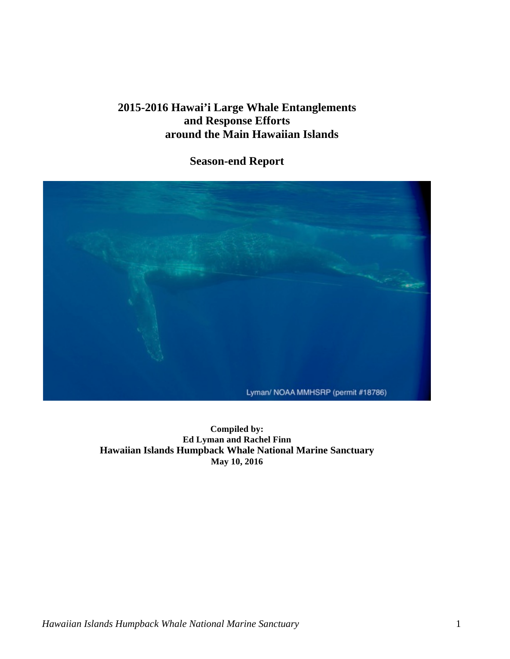## **2015-2016 Hawai'i Large Whale Entanglements and Response Efforts around the Main Hawaiian Islands**

**Season-end Report** 



 **Ed Lyman and Rachel Finn Compiled by: Hawaiian Islands Humpback Whale National Marine Sanctuary May 10, 2016**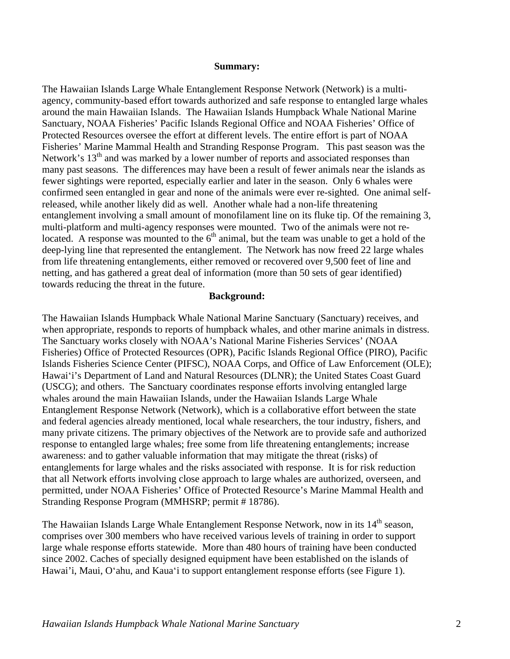#### **Summary:**

 entanglement involving a small amount of monofilament line on its fluke tip. Of the remaining 3, The Hawaiian Islands Large Whale Entanglement Response Network (Network) is a multiagency, community-based effort towards authorized and safe response to entangled large whales around the main Hawaiian Islands. The Hawaiian Islands Humpback Whale National Marine Sanctuary, NOAA Fisheries' Pacific Islands Regional Office and NOAA Fisheries' Office of Protected Resources oversee the effort at different levels. The entire effort is part of NOAA Fisheries' Marine Mammal Health and Stranding Response Program. This past season was the Network's  $13<sup>th</sup>$  and was marked by a lower number of reports and associated responses than many past seasons. The differences may have been a result of fewer animals near the islands as fewer sightings were reported, especially earlier and later in the season. Only 6 whales were confirmed seen entangled in gear and none of the animals were ever re-sighted. One animal selfreleased, while another likely did as well. Another whale had a non-life threatening multi-platform and multi-agency responses were mounted. Two of the animals were not relocated. A response was mounted to the  $6<sup>th</sup>$  animal, but the team was unable to get a hold of the deep-lying line that represented the entanglement. The Network has now freed 22 large whales from life threatening entanglements, either removed or recovered over 9,500 feet of line and netting, and has gathered a great deal of information (more than 50 sets of gear identified) towards reducing the threat in the future.

### **Background:**

 response to entangled large whales; free some from life threatening entanglements; increase awareness: and to gather valuable information that may mitigate the threat (risks) of The Hawaiian Islands Humpback Whale National Marine Sanctuary (Sanctuary) receives, and when appropriate, responds to reports of humpback whales, and other marine animals in distress. The Sanctuary works closely with NOAA's National Marine Fisheries Services' (NOAA Fisheries) Office of Protected Resources (OPR), Pacific Islands Regional Office (PIRO), Pacific Islands Fisheries Science Center (PIFSC), NOAA Corps, and Office of Law Enforcement (OLE); Hawaiʻi's Department of Land and Natural Resources (DLNR); the United States Coast Guard (USCG); and others. The Sanctuary coordinates response efforts involving entangled large whales around the main Hawaiian Islands, under the Hawaiian Islands Large Whale Entanglement Response Network (Network), which is a collaborative effort between the state and federal agencies already mentioned, local whale researchers, the tour industry, fishers, and many private citizens. The primary objectives of the Network are to provide safe and authorized entanglements for large whales and the risks associated with response. It is for risk reduction that all Network efforts involving close approach to large whales are authorized, overseen, and permitted, under NOAA Fisheries' Office of Protected Resource's Marine Mammal Health and Stranding Response Program (MMHSRP; permit # 18786).

The Hawaiian Islands Large Whale Entanglement Response Network, now in its  $14<sup>th</sup>$  season, comprises over 300 members who have received various levels of training in order to support large whale response efforts statewide. More than 480 hours of training have been conducted since 2002. Caches of specially designed equipment have been established on the islands of Hawai'i, Maui, Oʻahu, and Kauaʻi to support entanglement response efforts (see Figure 1).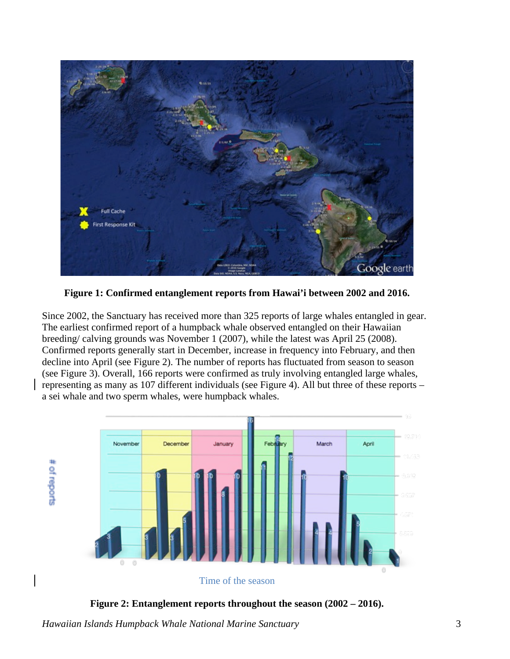

**Figure 1: Confirmed entanglement reports from Hawai'i between 2002 and 2016.** 

 Since 2002, the Sanctuary has received more than 325 reports of large whales entangled in gear. representing as many as 107 different individuals (see Figure 4). All but three of these reports – The earliest confirmed report of a humpback whale observed entangled on their Hawaiian breeding/ calving grounds was November 1 (2007), while the latest was April 25 (2008). Confirmed reports generally start in December, increase in frequency into February, and then decline into April (see Figure 2). The number of reports has fluctuated from season to season (see Figure 3). Overall, 166 reports were confirmed as truly involving entangled large whales, a sei whale and two sperm whales, were humpback whales.



 **Figure 2: Entanglement reports throughout the season (2002 – 2016).**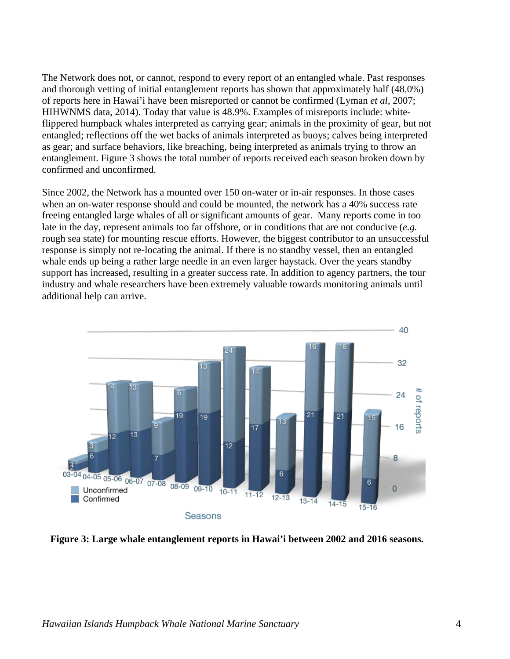The Network does not, or cannot, respond to every report of an entangled whale. Past responses and thorough vetting of initial entanglement reports has shown that approximately half (48.0%) of reports here in Hawai'i have been misreported or cannot be confirmed (Lyman *et al*, 2007; HIHWNMS data, 2014). Today that value is 48.9%. Examples of misreports include: whiteflippered humpback whales interpreted as carrying gear; animals in the proximity of gear, but not entangled; reflections off the wet backs of animals interpreted as buoys; calves being interpreted as gear; and surface behaviors, like breaching, being interpreted as animals trying to throw an entanglement. Figure 3 shows the total number of reports received each season broken down by confirmed and unconfirmed.

 when an on-water response should and could be mounted, the network has a 40% success rate Since 2002, the Network has a mounted over 150 on-water or in-air responses. In those cases freeing entangled large whales of all or significant amounts of gear. Many reports come in too late in the day, represent animals too far offshore, or in conditions that are not conducive (*e.g.*  rough sea state) for mounting rescue efforts. However, the biggest contributor to an unsuccessful response is simply not re-locating the animal. If there is no standby vessel, then an entangled whale ends up being a rather large needle in an even larger haystack. Over the years standby support has increased, resulting in a greater success rate. In addition to agency partners, the tour industry and whale researchers have been extremely valuable towards monitoring animals until additional help can arrive.



 **Figure 3: Large whale entanglement reports in Hawai'i between 2002 and 2016 seasons.**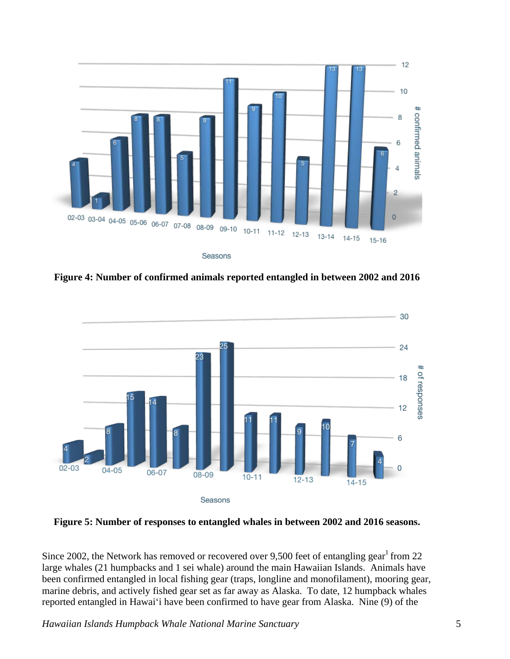

 **Figure 4: Number of confirmed animals reported entangled in between 2002 and 2016** 



**Figure 5: Number of responses to entangled whales in between 2002 and 2016 seasons.** 

Since 2002, the Network has removed or recovered over 9,500 feet of entangling gear<sup>1</sup> from 22 large whales (21 humpbacks and 1 sei whale) around the main Hawaiian Islands. Animals have reported entangled in Hawaiʻi have been confirmed to have gear from Alaska. Nine (9) of the been confirmed entangled in local fishing gear (traps, longline and monofilament), mooring gear, marine debris, and actively fished gear set as far away as Alaska. To date, 12 humpback whales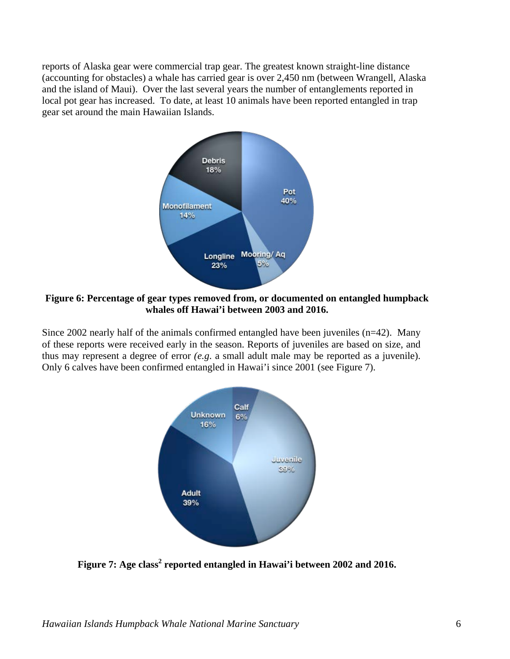(accounting for obstacles) a whale has carried gear is over 2,450 nm (between Wrangell, Alaska local pot gear has increased. To date, at least 10 animals have been reported entangled in trap reports of Alaska gear were commercial trap gear. The greatest known straight-line distance and the island of Maui). Over the last several years the number of entanglements reported in gear set around the main Hawaiian Islands.



**Figure 6: Percentage of gear types removed from, or documented on entangled humpback whales off Hawai'i between 2003 and 2016.** 

 Since 2002 nearly half of the animals confirmed entangled have been juveniles (n=42). Many of these reports were received early in the season. Reports of juveniles are based on size, and thus may represent a degree of error *(e.g*. a small adult male may be reported as a juvenile). Only 6 calves have been confirmed entangled in Hawai'i since 2001 (see Figure 7).



Figure 7: Age class<sup>2</sup> reported entangled in Hawai'i between 2002 and 2016.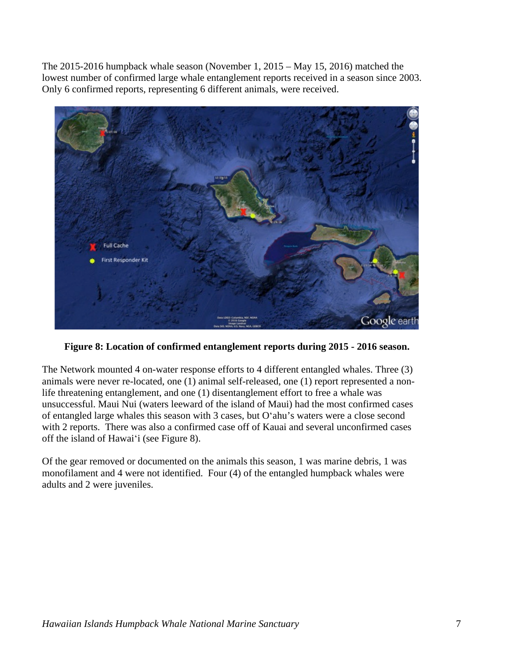The 2015-2016 humpback whale season (November 1, 2015 – May 15, 2016) matched the lowest number of confirmed large whale entanglement reports received in a season since 2003. Only 6 confirmed reports, representing 6 different animals, were received.



**Figure 8: Location of confirmed entanglement reports during 2015 - 2016 season.** 

The Network mounted 4 on-water response efforts to 4 different entangled whales. Three (3) animals were never re-located, one (1) animal self-released, one (1) report represented a nonlife threatening entanglement, and one (1) disentanglement effort to free a whale was unsuccessful. Maui Nui (waters leeward of the island of Maui) had the most confirmed cases of entangled large whales this season with 3 cases, but Oʻahu's waters were a close second with 2 reports. There was also a confirmed case off of Kauai and several unconfirmed cases off the island of Hawaiʻi (see Figure 8).

 adults and 2 were juveniles. Of the gear removed or documented on the animals this season, 1 was marine debris, 1 was monofilament and 4 were not identified. Four (4) of the entangled humpback whales were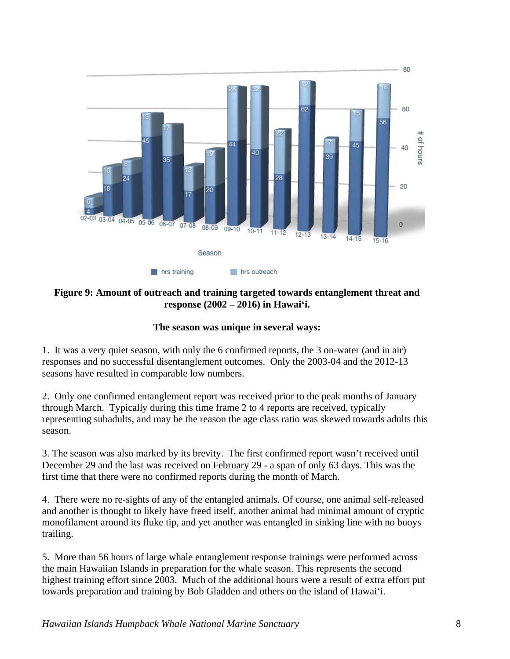

### **Figure 9: Amount of outreach and training targeted towards entanglement threat and response (2002 – 2016) in Hawaiʻi.**

## **The season was unique in several ways:**

 1. It was a very quiet season, with only the 6 confirmed reports, the 3 on-water (and in air) responses and no successful disentanglement outcomes. Only the 2003-04 and the 2012-13 seasons have resulted in comparable low numbers.

2. Only one confirmed entanglement report was received prior to the peak months of January through March. Typically during this time frame 2 to 4 reports are received, typically representing subadults, and may be the reason the age class ratio was skewed towards adults this season.

 December 29 and the last was received on February 29 - a span of only 63 days. This was the 3. The season was also marked by its brevity. The first confirmed report wasn't received until first time that there were no confirmed reports during the month of March.

 4. There were no re-sights of any of the entangled animals. Of course, one animal self-released and another is thought to likely have freed itself, another animal had minimal amount of cryptic monofilament around its fluke tip, and yet another was entangled in sinking line with no buoys trailing.

 towards preparation and training by Bob Gladden and others on the island of Hawaiʻi. 5. More than 56 hours of large whale entanglement response trainings were performed across the main Hawaiian Islands in preparation for the whale season. This represents the second highest training effort since 2003. Much of the additional hours were a result of extra effort put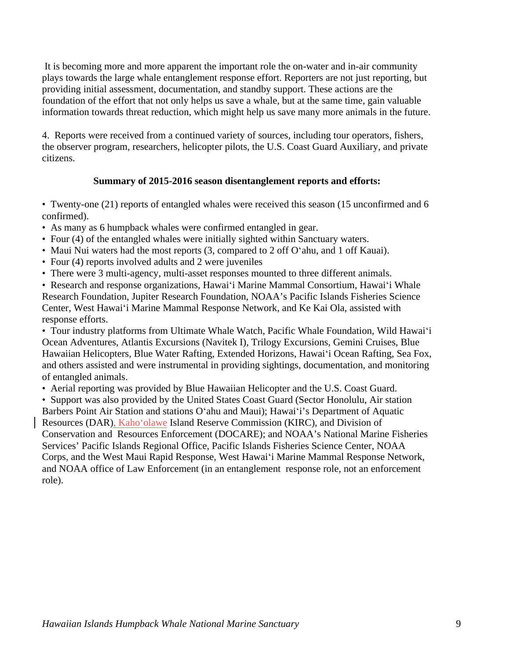foundation of the effort that not only helps us save a whale, but at the same time, gain valuable It is becoming more and more apparent the important role the on-water and in-air community plays towards the large whale entanglement response effort. Reporters are not just reporting, but providing initial assessment, documentation, and standby support. These actions are the information towards threat reduction, which might help us save many more animals in the future.

 citizens. 4. Reports were received from a continued variety of sources, including tour operators, fishers, the observer program, researchers, helicopter pilots, the U.S. Coast Guard Auxiliary, and private

### **Summary of 2015-2016 season disentanglement reports and efforts:**

 • Twenty-one (21) reports of entangled whales were received this season (15 unconfirmed and 6 confirmed).

- As many as 6 humpback whales were confirmed entangled in gear.
- Four (4) of the entangled whales were initially sighted within Sanctuary waters.
- Maui Nui waters had the most reports (3, compared to 2 off Oʻahu, and 1 off Kauai).
- Four (4) reports involved adults and 2 were juveniles
- There were 3 multi-agency, multi-asset responses mounted to three different animals.

• Research and response organizations, Hawaiʻi Marine Mammal Consortium, Hawaiʻi Whale Research Foundation, Jupiter Research Foundation, NOAA's Pacific Islands Fisheries Science Center, West Hawaiʻi Marine Mammal Response Network, and Ke Kai Ola, assisted with response efforts.

 • Tour industry platforms from Ultimate Whale Watch, Pacific Whale Foundation, Wild Hawaiʻi Ocean Adventures, Atlantis Excursions (Navitek I), Trilogy Excursions, Gemini Cruises, Blue Hawaiian Helicopters, Blue Water Rafting, Extended Horizons, Hawaiʻi Ocean Rafting, Sea Fox, and others assisted and were instrumental in providing sightings, documentation, and monitoring of entangled animals.

• Aerial reporting was provided by Blue Hawaiian Helicopter and the U.S. Coast Guard.

• Support was also provided by the United States Coast Guard (Sector Honolulu, Air station Barbers Point Air Station and stations Oʻahu and Maui); Hawaiʻi's Department of Aquatic Resources (DAR), Kahoʻolawe Island Reserve Commission (KIRC), and Division of

Conservation and Resources Enforcement (DOCARE); and NOAA's National Marine Fisheries Services' Pacific Islands Regional Office, Pacific Islands Fisheries Science Center, NOAA Corps, and the West Maui Rapid Response, West Hawaiʻi Marine Mammal Response Network, and NOAA office of Law Enforcement (in an entanglement response role, not an enforcement role).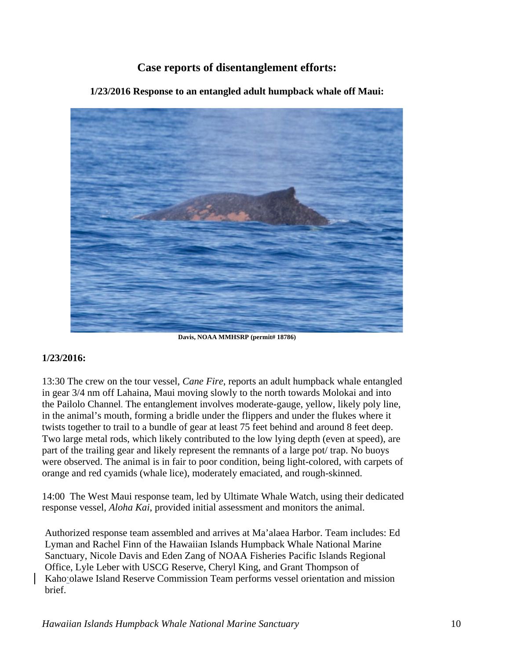# **Case reports of disentanglement efforts:**



**1/23/2016 Response to an entangled adult humpback whale off Maui:** 

 **Davis, NOAA MMHSRP (permit# 18786)** 

### **1/23/2016:**

13:30 The crew on the tour vessel, *Cane Fire*, reports an adult humpback whale entangled in gear 3/4 nm off Lahaina, Maui moving slowly to the north towards Molokai and into the Pailolo Channel. The entanglement involves moderate-gauge, yellow, likely poly line, in the animal's mouth, forming a bridle under the flippers and under the flukes where it twists together to trail to a bundle of gear at least 75 feet behind and around 8 feet deep. Two large metal rods, which likely contributed to the low lying depth (even at speed), are part of the trailing gear and likely represent the remnants of a large pot/ trap. No buoys were observed. The animal is in fair to poor condition, being light-colored, with carpets of orange and red cyamids (whale lice), moderately emaciated, and rough-skinned.

 response vessel, *Aloha Kai*, provided initial assessment and monitors the animal. 14:00 The West Maui response team, led by Ultimate Whale Watch, using their dedicated

Authorized response team assembled and arrives at Ma'alaea Harbor. Team includes: Ed Lyman and Rachel Finn of the Hawaiian Islands Humpback Whale National Marine Sanctuary, Nicole Davis and Eden Zang of NOAA Fisheries Pacific Islands Regional Office, Lyle Leber with USCG Reserve, Cheryl King, and Grant Thompson of Kahoʻolawe Island Reserve Commission Team performs vessel orientation and mission brief.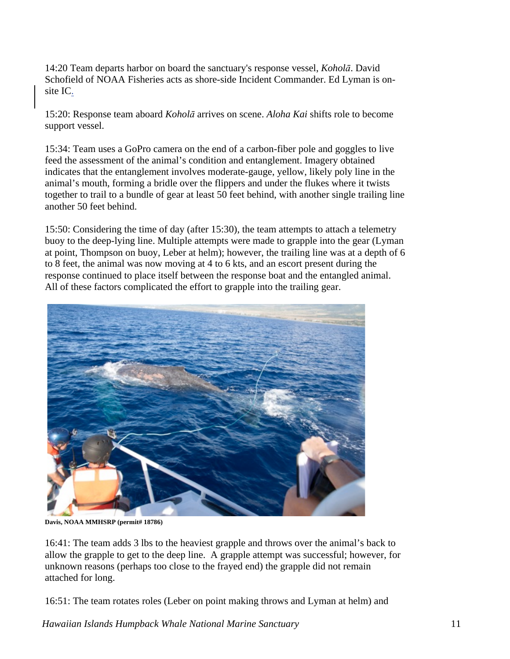14:20 Team departs harbor on board the sanctuary's response vessel, *Koholā*. David Schofield of NOAA Fisheries acts as shore-side Incident Commander. Ed Lyman is onsite IC.

15:20: Response team aboard *Koholā* arrives on scene. *Aloha Kai* shifts role to become support vessel.

 15:34: Team uses a GoPro camera on the end of a carbon-fiber pole and goggles to live another 50 feet behind. feed the assessment of the animal's condition and entanglement. Imagery obtained indicates that the entanglement involves moderate-gauge, yellow, likely poly line in the animal's mouth, forming a bridle over the flippers and under the flukes where it twists together to trail to a bundle of gear at least 50 feet behind, with another single trailing line

15:50: Considering the time of day (after 15:30), the team attempts to attach a telemetry buoy to the deep-lying line. Multiple attempts were made to grapple into the gear (Lyman at point, Thompson on buoy, Leber at helm); however, the trailing line was at a depth of 6 to 8 feet, the animal was now moving at 4 to 6 kts, and an escort present during the response continued to place itself between the response boat and the entangled animal. All of these factors complicated the effort to grapple into the trailing gear.



**Davis, NOAA MMHSRP (permit# 18786)** 

16:41: The team adds 3 lbs to the heaviest grapple and throws over the animal's back to allow the grapple to get to the deep line. A grapple attempt was successful; however, for unknown reasons (perhaps too close to the frayed end) the grapple did not remain attached for long.

16:51: The team rotates roles (Leber on point making throws and Lyman at helm) and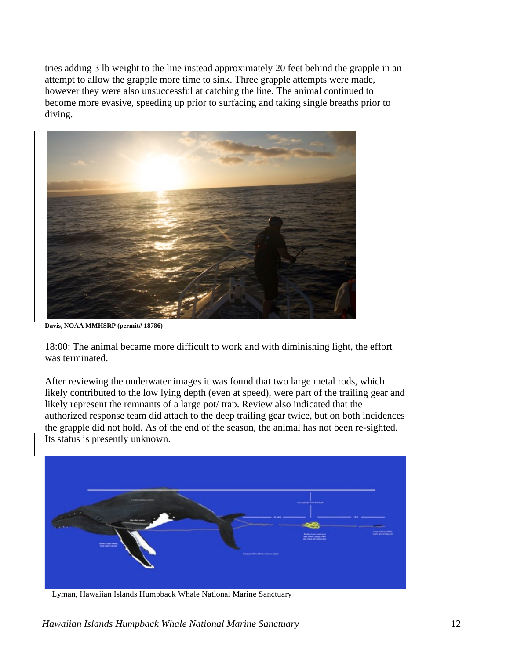however they were also unsuccessful at catching the line. The animal continued to tries adding 3 lb weight to the line instead approximately 20 feet behind the grapple in an attempt to allow the grapple more time to sink. Three grapple attempts were made, become more evasive, speeding up prior to surfacing and taking single breaths prior to diving.



 **Davis, NOAA MMHSRP (permit# 18786)** 

18:00: The animal became more difficult to work and with diminishing light, the effort was terminated.

 likely represent the remnants of a large pot/ trap. Review also indicated that the After reviewing the underwater images it was found that two large metal rods, which likely contributed to the low lying depth (even at speed), were part of the trailing gear and authorized response team did attach to the deep trailing gear twice, but on both incidences the grapple did not hold. As of the end of the season, the animal has not been re-sighted. Its status is presently unknown.



Lyman, Hawaiian Islands Humpback Whale National Marine Sanctuary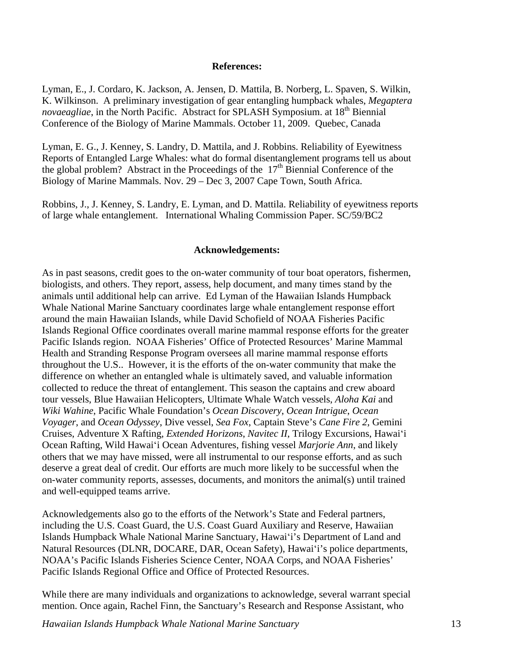#### **References:**

*novaeagliae*, in the North Pacific. Abstract for SPLASH Symposium. at 18<sup>th</sup> Biennial Lyman, E., J. Cordaro, K. Jackson, A. Jensen, D. Mattila, B. Norberg, L. Spaven, S. Wilkin, K. Wilkinson. A preliminary investigation of gear entangling humpback whales, *Megaptera*  Conference of the Biology of Marine Mammals. October 11, 2009. Quebec, Canada

Lyman, E. G., J. Kenney, S. Landry, D. Mattila, and J. Robbins. Reliability of Eyewitness Reports of Entangled Large Whales: what do formal disentanglement programs tell us about the global problem? Abstract in the Proceedings of the  $17<sup>th</sup>$  Biennial Conference of the Biology of Marine Mammals. Nov. 29 – Dec 3, 2007 Cape Town, South Africa.

Robbins, J., J. Kenney, S. Landry, E. Lyman, and D. Mattila. Reliability of eyewitness reports of large whale entanglement. International Whaling Commission Paper. SC/59/BC2

#### **Acknowledgements:**

 Whale National Marine Sanctuary coordinates large whale entanglement response effort throughout the U.S.. However, it is the efforts of the on-water community that make the As in past seasons, credit goes to the on-water community of tour boat operators, fishermen, biologists, and others. They report, assess, help document, and many times stand by the animals until additional help can arrive. Ed Lyman of the Hawaiian Islands Humpback around the main Hawaiian Islands, while David Schofield of NOAA Fisheries Pacific Islands Regional Office coordinates overall marine mammal response efforts for the greater Pacific Islands region. NOAA Fisheries' Office of Protected Resources' Marine Mammal Health and Stranding Response Program oversees all marine mammal response efforts difference on whether an entangled whale is ultimately saved, and valuable information collected to reduce the threat of entanglement. This season the captains and crew aboard tour vessels, Blue Hawaiian Helicopters, Ultimate Whale Watch vessels, *Aloha Kai* and *Wiki Wahine*, Pacific Whale Foundation's *Ocean Discovery*, *Ocean Intrigue*, *Ocean Voyager*, and *Ocean Odyssey*, Dive vessel, *Sea Fox*, Captain Steve's *Cane Fire 2*, Gemini Cruises, Adventure X Rafting, *Extended Horizons*, *Navitec II*, Trilogy Excursions, Hawaiʻi Ocean Rafting, Wild Hawaiʻi Ocean Adventures, fishing vessel *Marjorie Ann*, and likely others that we may have missed, were all instrumental to our response efforts, and as such deserve a great deal of credit. Our efforts are much more likely to be successful when the on-water community reports, assesses, documents, and monitors the animal(s) until trained and well-equipped teams arrive.

Acknowledgements also go to the efforts of the Network's State and Federal partners, including the U.S. Coast Guard, the U.S. Coast Guard Auxiliary and Reserve, Hawaiian Islands Humpback Whale National Marine Sanctuary, Hawaiʻi's Department of Land and Natural Resources (DLNR, DOCARE, DAR, Ocean Safety), Hawaiʻi's police departments, NOAA's Pacific Islands Fisheries Science Center, NOAA Corps, and NOAA Fisheries' Pacific Islands Regional Office and Office of Protected Resources.

While there are many individuals and organizations to acknowledge, several warrant special mention. Once again, Rachel Finn, the Sanctuary's Research and Response Assistant, who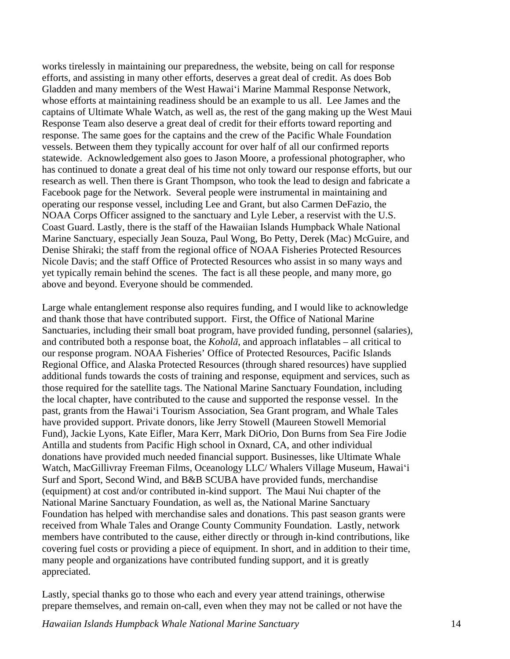Gladden and many members of the West Hawaiʻi Marine Mammal Response Network, captains of Ultimate Whale Watch, as well as, the rest of the gang making up the West Maui Response Team also deserve a great deal of credit for their efforts toward reporting and NOAA Corps Officer assigned to the sanctuary and Lyle Leber, a reservist with the U.S. works tirelessly in maintaining our preparedness, the website, being on call for response efforts, and assisting in many other efforts, deserves a great deal of credit. As does Bob whose efforts at maintaining readiness should be an example to us all. Lee James and the response. The same goes for the captains and the crew of the Pacific Whale Foundation vessels. Between them they typically account for over half of all our confirmed reports statewide. Acknowledgement also goes to Jason Moore, a professional photographer, who has continued to donate a great deal of his time not only toward our response efforts, but our research as well. Then there is Grant Thompson, who took the lead to design and fabricate a Facebook page for the Network. Several people were instrumental in maintaining and operating our response vessel, including Lee and Grant, but also Carmen DeFazio, the Coast Guard. Lastly, there is the staff of the Hawaiian Islands Humpback Whale National Marine Sanctuary, especially Jean Souza, Paul Wong, Bo Petty, Derek (Mac) McGuire, and Denise Shiraki; the staff from the regional office of NOAA Fisheries Protected Resources Nicole Davis; and the staff Office of Protected Resources who assist in so many ways and yet typically remain behind the scenes. The fact is all these people, and many more, go above and beyond. Everyone should be commended.

 and contributed both a response boat, the *Koholā*, and approach inflatables – all critical to Fund), Jackie Lyons, Kate Eifler, Mara Kerr, Mark DiOrio, Don Burns from Sea Fire Jodie Large whale entanglement response also requires funding, and I would like to acknowledge and thank those that have contributed support. First, the Office of National Marine Sanctuaries, including their small boat program, have provided funding, personnel (salaries), our response program. NOAA Fisheries' Office of Protected Resources, Pacific Islands Regional Office, and Alaska Protected Resources (through shared resources) have supplied additional funds towards the costs of training and response, equipment and services, such as those required for the satellite tags. The National Marine Sanctuary Foundation, including the local chapter, have contributed to the cause and supported the response vessel. In the past, grants from the Hawaiʻi Tourism Association, Sea Grant program, and Whale Tales have provided support. Private donors, like Jerry Stowell (Maureen Stowell Memorial Antilla and students from Pacific High school in Oxnard, CA, and other individual donations have provided much needed financial support. Businesses, like Ultimate Whale Watch, MacGillivray Freeman Films, Oceanology LLC/ Whalers Village Museum, Hawaiʻi Surf and Sport, Second Wind, and B&B SCUBA have provided funds, merchandise (equipment) at cost and/or contributed in-kind support. The Maui Nui chapter of the National Marine Sanctuary Foundation, as well as, the National Marine Sanctuary Foundation has helped with merchandise sales and donations. This past season grants were received from Whale Tales and Orange County Community Foundation. Lastly, network members have contributed to the cause, either directly or through in-kind contributions, like covering fuel costs or providing a piece of equipment. In short, and in addition to their time, many people and organizations have contributed funding support, and it is greatly appreciated.

Lastly, special thanks go to those who each and every year attend trainings, otherwise prepare themselves, and remain on-call, even when they may not be called or not have the